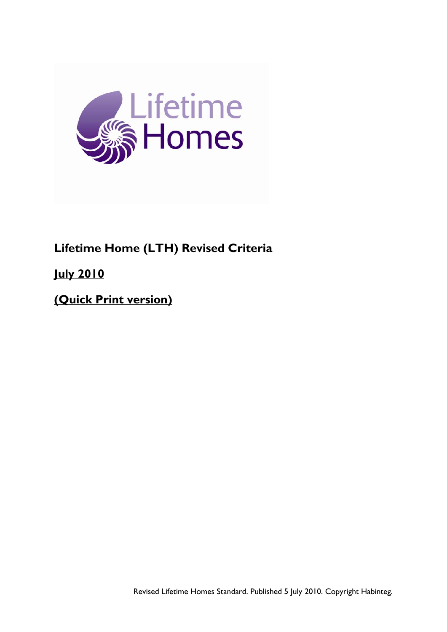

# **Lifetime Home (LTH) Revised Criteria**

**July 2010**

**(Quick Print version)**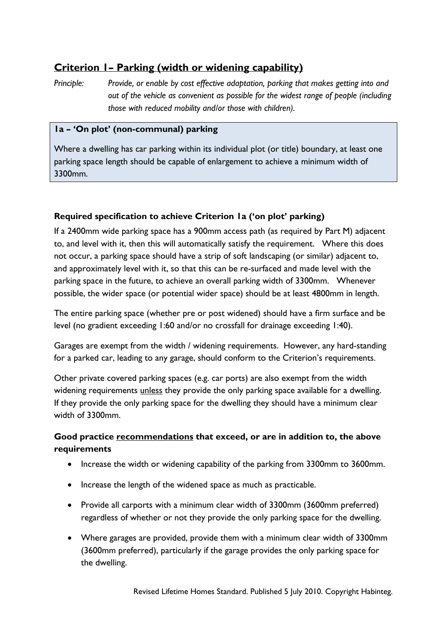## **Criterion 1– Parking (width or widening capability)**

*Principle: Provide, or enable by cost effective adaptation, parking that makes getting into and out of the vehicle as convenient as possible for the widest range of people (including those with reduced mobility and/or those with children).* 

### **1a – 'On plot' (non-communal) parking**

Where a dwelling has car parking within its individual plot (or title) boundary, at least one parking space length should be capable of enlargement to achieve a minimum width of 3300mm.

### **Required specification to achieve Criterion 1a ('on plot' parking)**

If a 2400mm wide parking space has a 900mm access path (as required by Part M) adjacent to, and level with it, then this will automatically satisfy the requirement. Where this does not occur, a parking space should have a strip of soft landscaping (or similar) adjacent to, and approximately level with it, so that this can be re-surfaced and made level with the parking space in the future, to achieve an overall parking width of 3300mm. Whenever possible, the wider space (or potential wider space) should be at least 4800mm in length.

The entire parking space (whether pre or post widened) should have a firm surface and be level (no gradient exceeding 1:60 and/or no crossfall for drainage exceeding 1:40).

Garages are exempt from the width / widening requirements. However, any hard-standing for a parked car, leading to any garage, should conform to the Criterion's requirements.

Other private covered parking spaces (e.g. car ports) are also exempt from the width widening requirements unless they provide the only parking space available for a dwelling. If they provide the only parking space for the dwelling they should have a minimum clear width of 3300mm.

### **Good practice recommendations that exceed, or are in addition to, the above requirements**

- Increase the width or widening capability of the parking from 3300mm to 3600mm.
- Increase the length of the widened space as much as practicable.
- Provide all carports with a minimum clear width of 3300mm (3600mm preferred) regardless of whether or not they provide the only parking space for the dwelling.
- Where garages are provided, provide them with a minimum clear width of 3300mm (3600mm preferred), particularly if the garage provides the only parking space for the dwelling.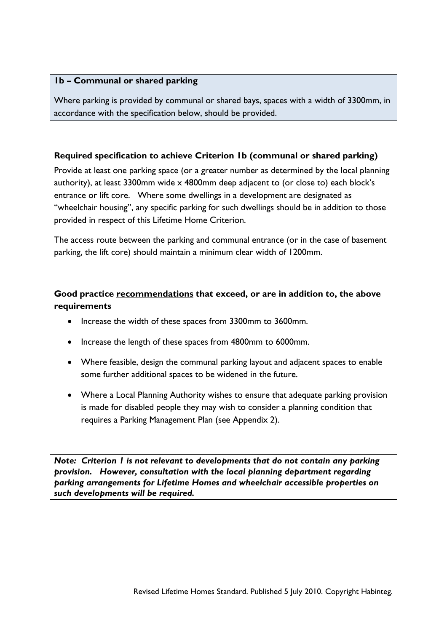### **1b – Communal or shared parking**

Where parking is provided by communal or shared bays, spaces with a width of 3300mm, in accordance with the specification below, should be provided.

### **Required specification to achieve Criterion 1b (communal or shared parking)**

Provide at least one parking space (or a greater number as determined by the local planning authority), at least 3300mm wide x 4800mm deep adjacent to (or close to) each block's entrance or lift core. Where some dwellings in a development are designated as "wheelchair housing", any specific parking for such dwellings should be in addition to those provided in respect of this Lifetime Home Criterion.

The access route between the parking and communal entrance (or in the case of basement parking, the lift core) should maintain a minimum clear width of 1200mm.

### **Good practice recommendations that exceed, or are in addition to, the above requirements**

- Increase the width of these spaces from 3300mm to 3600mm.
- Increase the length of these spaces from 4800mm to 6000mm.
- Where feasible, design the communal parking layout and adjacent spaces to enable some further additional spaces to be widened in the future.
- Where a Local Planning Authority wishes to ensure that adequate parking provision is made for disabled people they may wish to consider a planning condition that requires a Parking Management Plan (see Appendix 2).

*Note: Criterion 1 is not relevant to developments that do not contain any parking provision. However, consultation with the local planning department regarding parking arrangements for Lifetime Homes and wheelchair accessible properties on such developments will be required.*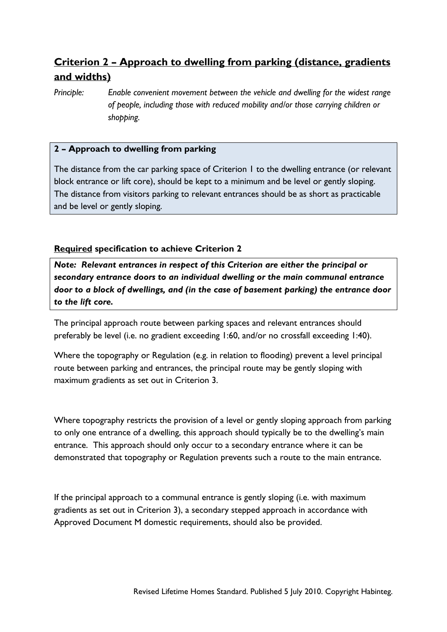# **Criterion 2 – Approach to dwelling from parking (distance, gradients and widths)**

*Principle: Enable convenient movement between the vehicle and dwelling for the widest range of people, including those with reduced mobility and/or those carrying children or shopping.* 

### **2 – Approach to dwelling from parking**

The distance from the car parking space of Criterion 1 to the dwelling entrance (or relevant block entrance or lift core), should be kept to a minimum and be level or gently sloping. The distance from visitors parking to relevant entrances should be as short as practicable and be level or gently sloping.

### **Required specification to achieve Criterion 2**

*Note: Relevant entrances in respect of this Criterion are either the principal or secondary entrance doors to an individual dwelling or the main communal entrance door to a block of dwellings, and (in the case of basement parking) the entrance door to the lift core.* 

The principal approach route between parking spaces and relevant entrances should preferably be level (i.e. no gradient exceeding 1:60, and/or no crossfall exceeding 1:40).

Where the topography or Regulation (e.g. in relation to flooding) prevent a level principal route between parking and entrances, the principal route may be gently sloping with maximum gradients as set out in Criterion 3.

Where topography restricts the provision of a level or gently sloping approach from parking to only one entrance of a dwelling, this approach should typically be to the dwelling's main entrance. This approach should only occur to a secondary entrance where it can be demonstrated that topography or Regulation prevents such a route to the main entrance.

If the principal approach to a communal entrance is gently sloping (i.e. with maximum gradients as set out in Criterion 3), a secondary stepped approach in accordance with Approved Document M domestic requirements, should also be provided.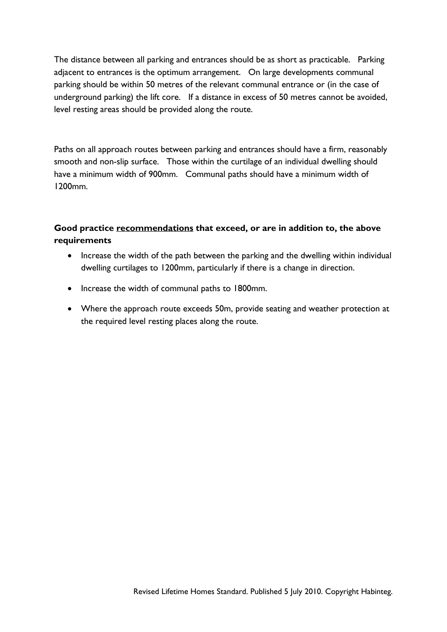The distance between all parking and entrances should be as short as practicable. Parking adjacent to entrances is the optimum arrangement. On large developments communal parking should be within 50 metres of the relevant communal entrance or (in the case of underground parking) the lift core. If a distance in excess of 50 metres cannot be avoided, level resting areas should be provided along the route.

Paths on all approach routes between parking and entrances should have a firm, reasonably smooth and non-slip surface. Those within the curtilage of an individual dwelling should have a minimum width of 900mm. Communal paths should have a minimum width of 1200mm.

### **Good practice recommendations that exceed, or are in addition to, the above requirements**

- Increase the width of the path between the parking and the dwelling within individual dwelling curtilages to 1200mm, particularly if there is a change in direction.
- Increase the width of communal paths to 1800mm.
- Where the approach route exceeds 50m, provide seating and weather protection at the required level resting places along the route.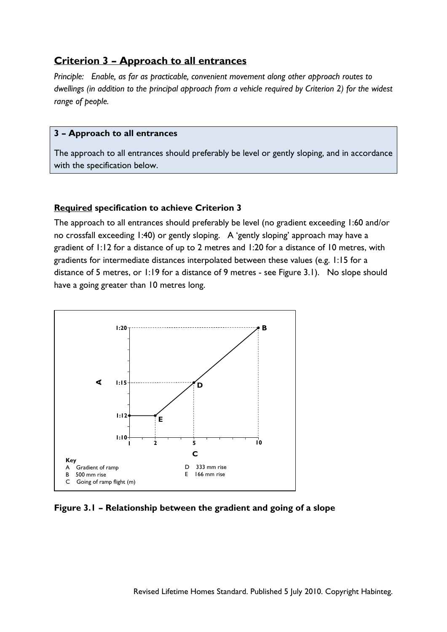### **Criterion 3 – Approach to all entrances**

*Principle: Enable, as far as practicable, convenient movement along other approach routes to dwellings (in addition to the principal approach from a vehicle required by Criterion 2) for the widest range of people.* 

#### **3 – Approach to all entrances**

The approach to all entrances should preferably be level or gently sloping, and in accordance with the specification below.

#### **Required specification to achieve Criterion 3**

The approach to all entrances should preferably be level (no gradient exceeding 1:60 and/or no crossfall exceeding 1:40) or gently sloping. A 'gently sloping' approach may have a gradient of 1:12 for a distance of up to 2 metres and 1:20 for a distance of 10 metres, with gradients for intermediate distances interpolated between these values (e.g. 1:15 for a distance of 5 metres, or 1:19 for a distance of 9 metres - see Figure 3.1). No slope should have a going greater than 10 metres long.



**Figure 3.1 – Relationship between the gradient and going of a slope**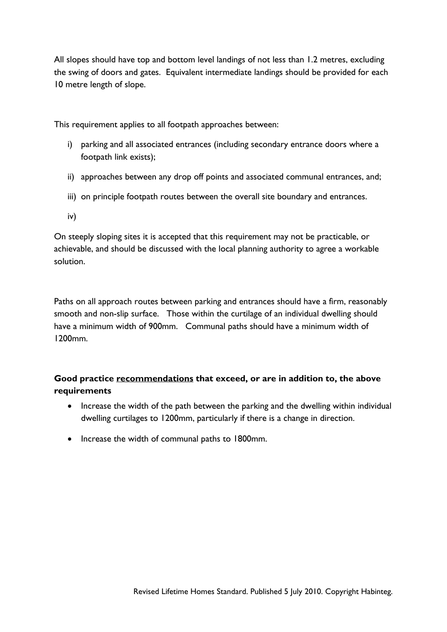All slopes should have top and bottom level landings of not less than 1.2 metres, excluding the swing of doors and gates. Equivalent intermediate landings should be provided for each 10 metre length of slope.

This requirement applies to all footpath approaches between:

- i) parking and all associated entrances (including secondary entrance doors where a footpath link exists);
- ii) approaches between any drop off points and associated communal entrances, and;
- iii) on principle footpath routes between the overall site boundary and entrances.
- iv)

On steeply sloping sites it is accepted that this requirement may not be practicable, or achievable, and should be discussed with the local planning authority to agree a workable solution.

Paths on all approach routes between parking and entrances should have a firm, reasonably smooth and non-slip surface. Those within the curtilage of an individual dwelling should have a minimum width of 900mm. Communal paths should have a minimum width of 1200mm.

## **Good practice recommendations that exceed, or are in addition to, the above requirements**

- Increase the width of the path between the parking and the dwelling within individual dwelling curtilages to 1200mm, particularly if there is a change in direction.
- Increase the width of communal paths to 1800mm.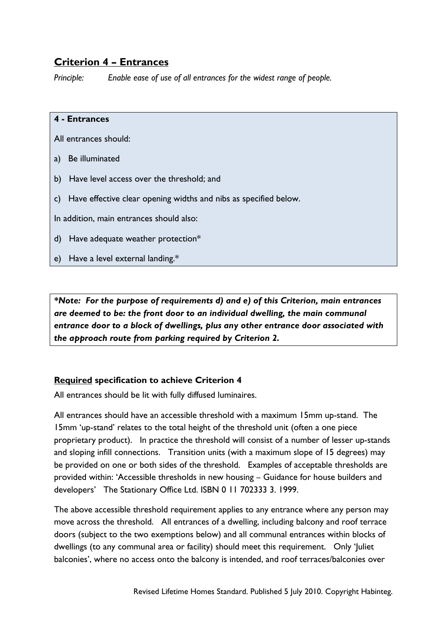## **Criterion 4 – Entrances**

*Principle: Enable ease of use of all entrances for the widest range of people.* 

### **4 - Entrances**

All entrances should:

- a) Be illuminated
- b) Have level access over the threshold; and
- c) Have effective clear opening widths and nibs as specified below.

In addition, main entrances should also:

- d) Have adequate weather protection\*
- e) Have a level external landing.\*

*\*Note: For the purpose of requirements d) and e) of this Criterion, main entrances are deemed to be: the front door to an individual dwelling, the main communal entrance door to a block of dwellings, plus any other entrance door associated with the approach route from parking required by Criterion 2.* 

### **Required specification to achieve Criterion 4**

All entrances should be lit with fully diffused luminaires.

All entrances should have an accessible threshold with a maximum 15mm up-stand. The 15mm 'up-stand' relates to the total height of the threshold unit (often a one piece proprietary product). In practice the threshold will consist of a number of lesser up-stands and sloping infill connections. Transition units (with a maximum slope of 15 degrees) may be provided on one or both sides of the threshold. Examples of acceptable thresholds are provided within: 'Accessible thresholds in new housing – Guidance for house builders and developers' The Stationary Office Ltd. ISBN 0 11 702333 3. 1999.

The above accessible threshold requirement applies to any entrance where any person may move across the threshold. All entrances of a dwelling, including balcony and roof terrace doors (subject to the two exemptions below) and all communal entrances within blocks of dwellings (to any communal area or facility) should meet this requirement. Only 'Juliet balconies', where no access onto the balcony is intended, and roof terraces/balconies over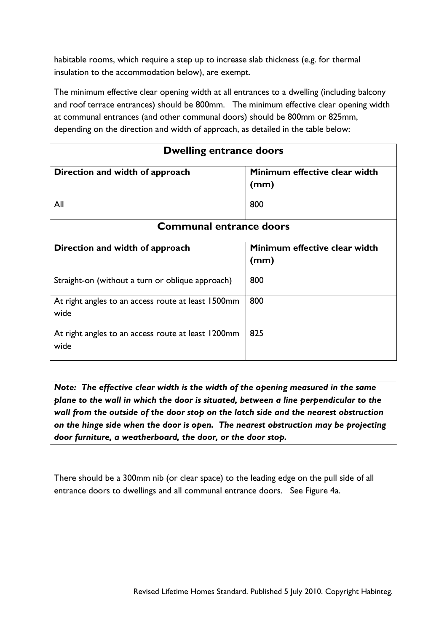habitable rooms, which require a step up to increase slab thickness (e.g. for thermal insulation to the accommodation below), are exempt.

The minimum effective clear opening width at all entrances to a dwelling (including balcony and roof terrace entrances) should be 800mm. The minimum effective clear opening width at communal entrances (and other communal doors) should be 800mm or 825mm, depending on the direction and width of approach, as detailed in the table below:

| <b>Dwelling entrance doors</b>                             |                                       |  |
|------------------------------------------------------------|---------------------------------------|--|
| Direction and width of approach                            | Minimum effective clear width<br>(mm) |  |
| All                                                        | 800                                   |  |
| <b>Communal entrance doors</b>                             |                                       |  |
| Direction and width of approach                            | Minimum effective clear width         |  |
|                                                            | (mm)                                  |  |
| Straight-on (without a turn or oblique approach)           | 800                                   |  |
| At right angles to an access route at least 1500mm<br>wide | 800                                   |  |
| At right angles to an access route at least 1200mm<br>wide | 825                                   |  |

*Note: The effective clear width is the width of the opening measured in the same plane to the wall in which the door is situated, between a line perpendicular to the wall from the outside of the door stop on the latch side and the nearest obstruction on the hinge side when the door is open. The nearest obstruction may be projecting door furniture, a weatherboard, the door, or the door stop.* 

There should be a 300mm nib (or clear space) to the leading edge on the pull side of all entrance doors to dwellings and all communal entrance doors. See Figure 4a.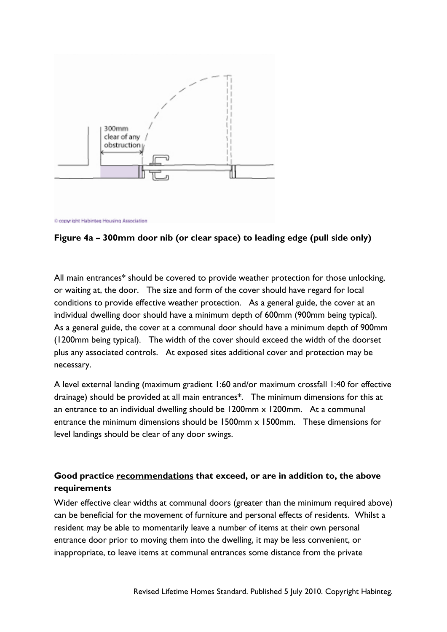

C copyright Habinteg Housing Association

### **Figure 4a – 300mm door nib (or clear space) to leading edge (pull side only)**

All main entrances\* should be covered to provide weather protection for those unlocking, or waiting at, the door. The size and form of the cover should have regard for local conditions to provide effective weather protection. As a general guide, the cover at an individual dwelling door should have a minimum depth of 600mm (900mm being typical). As a general guide, the cover at a communal door should have a minimum depth of 900mm (1200mm being typical). The width of the cover should exceed the width of the doorset plus any associated controls. At exposed sites additional cover and protection may be necessary.

A level external landing (maximum gradient 1:60 and/or maximum crossfall 1:40 for effective drainage) should be provided at all main entrances\*. The minimum dimensions for this at an entrance to an individual dwelling should be 1200mm x 1200mm. At a communal entrance the minimum dimensions should be 1500mm x 1500mm. These dimensions for level landings should be clear of any door swings.

## **Good practice recommendations that exceed, or are in addition to, the above requirements**

Wider effective clear widths at communal doors (greater than the minimum required above) can be beneficial for the movement of furniture and personal effects of residents. Whilst a resident may be able to momentarily leave a number of items at their own personal entrance door prior to moving them into the dwelling, it may be less convenient, or inappropriate, to leave items at communal entrances some distance from the private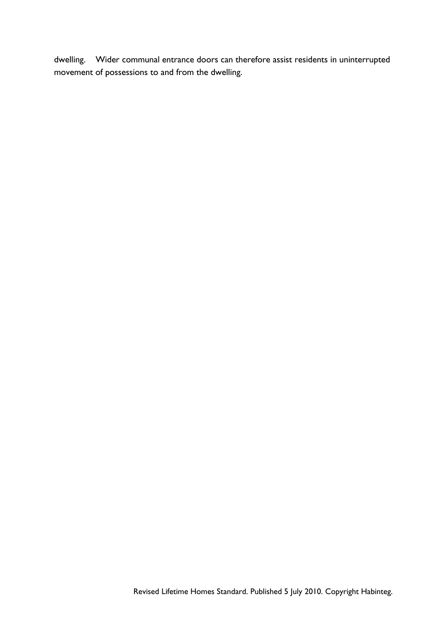dwelling. Wider communal entrance doors can therefore assist residents in uninterrupted movement of possessions to and from the dwelling.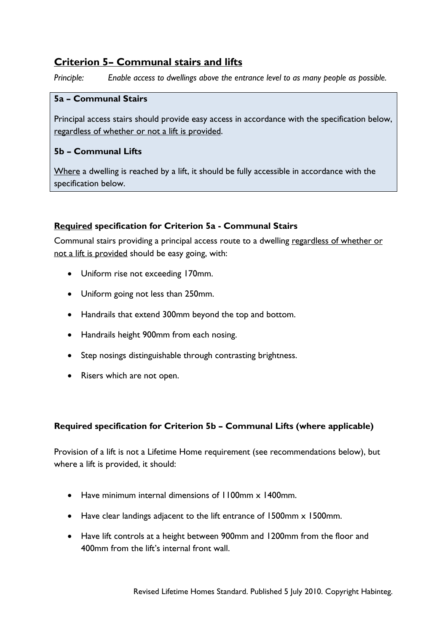## **Criterion 5– Communal stairs and lifts**

*Principle: Enable access to dwellings above the entrance level to as many people as possible.* 

#### **5a – Communal Stairs**

Principal access stairs should provide easy access in accordance with the specification below, regardless of whether or not a lift is provided.

### **5b – Communal Lifts**

Where a dwelling is reached by a lift, it should be fully accessible in accordance with the specification below.

### **Required specification for Criterion 5a - Communal Stairs**

Communal stairs providing a principal access route to a dwelling regardless of whether or not a lift is provided should be easy going, with:

- Uniform rise not exceeding 170mm.
- Uniform going not less than 250mm.
- Handrails that extend 300mm beyond the top and bottom.
- Handrails height 900mm from each nosing.
- Step nosings distinguishable through contrasting brightness.
- Risers which are not open.

### **Required specification for Criterion 5b – Communal Lifts (where applicable)**

Provision of a lift is not a Lifetime Home requirement (see recommendations below), but where a lift is provided, it should:

- Have minimum internal dimensions of 1100mm x 1400mm.
- Have clear landings adjacent to the lift entrance of 1500mm x 1500mm.
- Have lift controls at a height between 900mm and 1200mm from the floor and 400mm from the lift's internal front wall.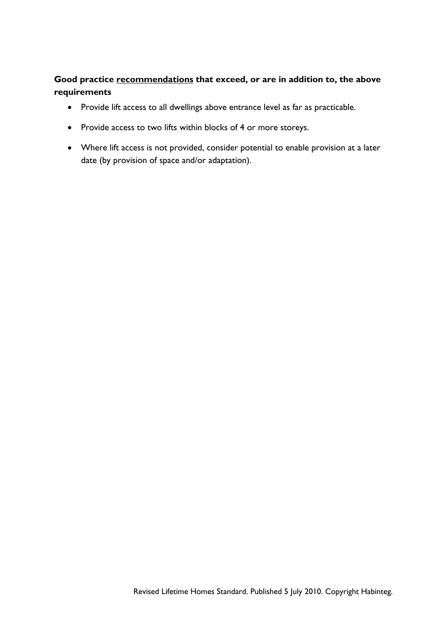### **Good practice recommendations that exceed, or are in addition to, the above requirements**

- Provide lift access to all dwellings above entrance level as far as practicable.
- Provide access to two lifts within blocks of 4 or more storeys.
- Where lift access is not provided, consider potential to enable provision at a later date (by provision of space and/or adaptation).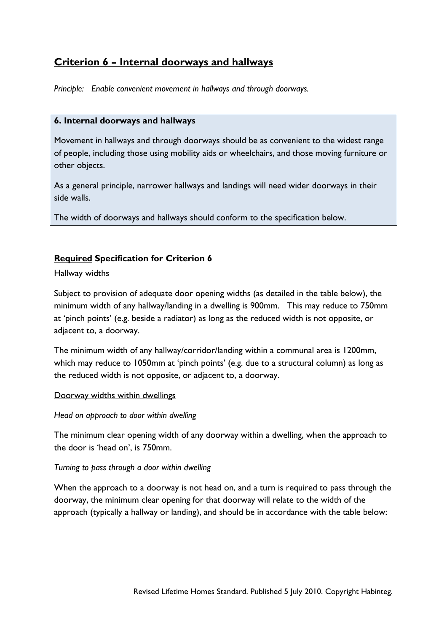## **Criterion 6 – Internal doorways and hallways**

*Principle: Enable convenient movement in hallways and through doorways.* 

#### **6. Internal doorways and hallways**

Movement in hallways and through doorways should be as convenient to the widest range of people, including those using mobility aids or wheelchairs, and those moving furniture or other objects.

As a general principle, narrower hallways and landings will need wider doorways in their side walls.

The width of doorways and hallways should conform to the specification below.

### **Required Specification for Criterion 6**

#### Hallway widths

Subject to provision of adequate door opening widths (as detailed in the table below), the minimum width of any hallway/landing in a dwelling is 900mm. This may reduce to 750mm at 'pinch points' (e.g. beside a radiator) as long as the reduced width is not opposite, or adjacent to, a doorway.

The minimum width of any hallway/corridor/landing within a communal area is 1200mm, which may reduce to 1050mm at 'pinch points' (e.g. due to a structural column) as long as the reduced width is not opposite, or adjacent to, a doorway.

#### Doorway widths within dwellings

#### *Head on approach to door within dwelling*

The minimum clear opening width of any doorway within a dwelling, when the approach to the door is 'head on', is 750mm.

#### *Turning to pass through a door within dwelling*

When the approach to a doorway is not head on, and a turn is required to pass through the doorway, the minimum clear opening for that doorway will relate to the width of the approach (typically a hallway or landing), and should be in accordance with the table below: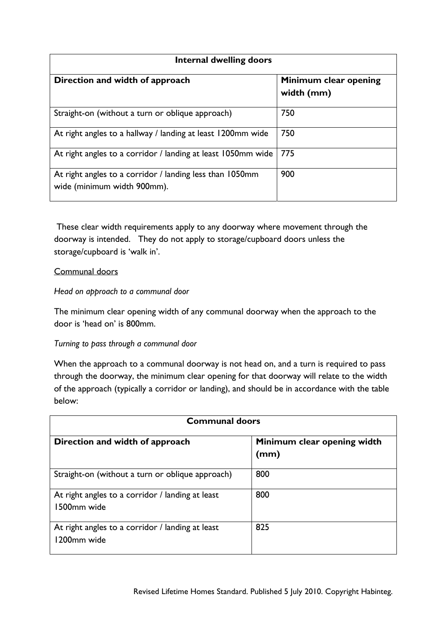| Internal dwelling doors                                                                 |                                     |  |
|-----------------------------------------------------------------------------------------|-------------------------------------|--|
| Direction and width of approach                                                         | Minimum clear opening<br>width (mm) |  |
| Straight-on (without a turn or oblique approach)                                        | 750                                 |  |
| At right angles to a hallway / landing at least 1200mm wide                             | 750                                 |  |
| At right angles to a corridor / landing at least 1050mm wide                            | 775                                 |  |
| At right angles to a corridor / landing less than 1050mm<br>wide (minimum width 900mm). | 900                                 |  |

These clear width requirements apply to any doorway where movement through the doorway is intended. They do not apply to storage/cupboard doors unless the storage/cupboard is 'walk in'.

### Communal doors

### *Head on approach to a communal door*

The minimum clear opening width of any communal doorway when the approach to the door is 'head on' is 800mm.

#### *Turning to pass through a communal door*

When the approach to a communal doorway is not head on, and a turn is required to pass through the doorway, the minimum clear opening for that doorway will relate to the width of the approach (typically a corridor or landing), and should be in accordance with the table below:

| <b>Communal doors</b>                                           |                                     |
|-----------------------------------------------------------------|-------------------------------------|
| Direction and width of approach                                 | Minimum clear opening width<br>(mm) |
| Straight-on (without a turn or oblique approach)                | 800                                 |
| At right angles to a corridor / landing at least<br>1500mm wide | 800                                 |
| At right angles to a corridor / landing at least<br>1200mm wide | 825                                 |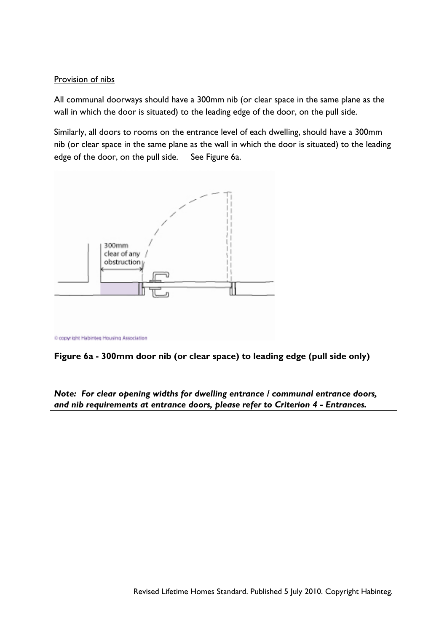### Provision of nibs

All communal doorways should have a 300mm nib (or clear space in the same plane as the wall in which the door is situated) to the leading edge of the door, on the pull side.

Similarly, all doors to rooms on the entrance level of each dwelling, should have a 300mm nib (or clear space in the same plane as the wall in which the door is situated) to the leading edge of the door, on the pull side. See Figure 6a.





*Note: For clear opening widths for dwelling entrance / communal entrance doors, and nib requirements at entrance doors, please refer to Criterion 4 - Entrances.*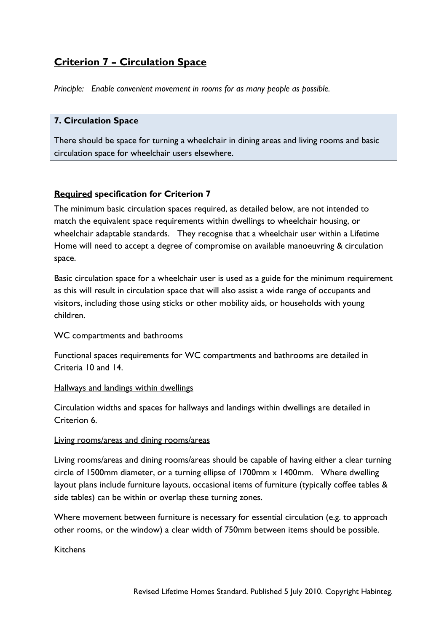## **Criterion 7 – Circulation Space**

*Principle: Enable convenient movement in rooms for as many people as possible.* 

### **7. Circulation Space**

There should be space for turning a wheelchair in dining areas and living rooms and basic circulation space for wheelchair users elsewhere.

### **Required specification for Criterion 7**

The minimum basic circulation spaces required, as detailed below, are not intended to match the equivalent space requirements within dwellings to wheelchair housing, or wheelchair adaptable standards. They recognise that a wheelchair user within a Lifetime Home will need to accept a degree of compromise on available manoeuvring & circulation space.

Basic circulation space for a wheelchair user is used as a guide for the minimum requirement as this will result in circulation space that will also assist a wide range of occupants and visitors, including those using sticks or other mobility aids, or households with young children.

#### WC compartments and bathrooms

Functional spaces requirements for WC compartments and bathrooms are detailed in Criteria 10 and 14.

#### Hallways and landings within dwellings

Circulation widths and spaces for hallways and landings within dwellings are detailed in Criterion 6.

#### Living rooms/areas and dining rooms/areas

Living rooms/areas and dining rooms/areas should be capable of having either a clear turning circle of 1500mm diameter, or a turning ellipse of 1700mm x 1400mm. Where dwelling layout plans include furniture layouts, occasional items of furniture (typically coffee tables & side tables) can be within or overlap these turning zones.

Where movement between furniture is necessary for essential circulation (e.g. to approach other rooms, or the window) a clear width of 750mm between items should be possible.

#### **Kitchens**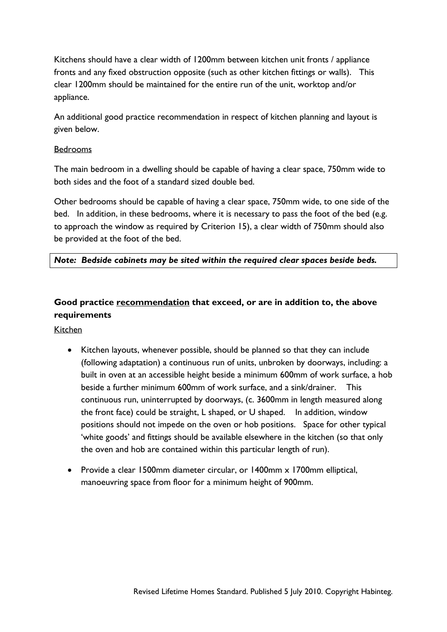Kitchens should have a clear width of 1200mm between kitchen unit fronts / appliance fronts and any fixed obstruction opposite (such as other kitchen fittings or walls). This clear 1200mm should be maintained for the entire run of the unit, worktop and/or appliance.

An additional good practice recommendation in respect of kitchen planning and layout is given below.

### Bedrooms

The main bedroom in a dwelling should be capable of having a clear space, 750mm wide to both sides and the foot of a standard sized double bed.

Other bedrooms should be capable of having a clear space, 750mm wide, to one side of the bed. In addition, in these bedrooms, where it is necessary to pass the foot of the bed (e.g. to approach the window as required by Criterion 15), a clear width of 750mm should also be provided at the foot of the bed.

### *Note: Bedside cabinets may be sited within the required clear spaces beside beds.*

## **Good practice recommendation that exceed, or are in addition to, the above requirements**

Kitchen

- Kitchen layouts, whenever possible, should be planned so that they can include (following adaptation) a continuous run of units, unbroken by doorways, including: a built in oven at an accessible height beside a minimum 600mm of work surface, a hob beside a further minimum 600mm of work surface, and a sink/drainer. This continuous run, uninterrupted by doorways, (c. 3600mm in length measured along the front face) could be straight, L shaped, or U shaped. In addition, window positions should not impede on the oven or hob positions. Space for other typical 'white goods' and fittings should be available elsewhere in the kitchen (so that only the oven and hob are contained within this particular length of run).
- Provide a clear 1500mm diameter circular, or 1400mm x 1700mm elliptical, manoeuvring space from floor for a minimum height of 900mm.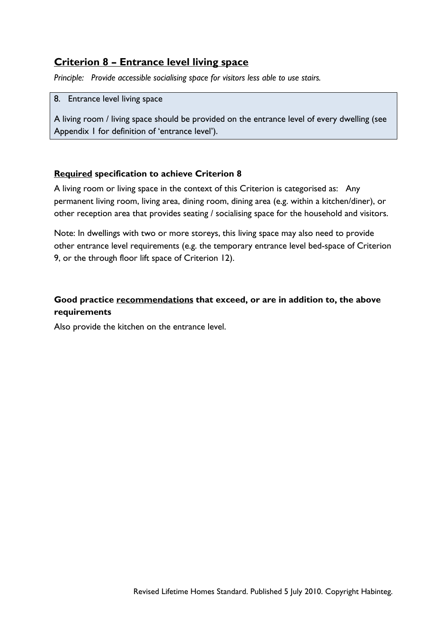## **Criterion 8 – Entrance level living space**

*Principle: Provide accessible socialising space for visitors less able to use stairs.* 

#### 8. Entrance level living space

A living room / living space should be provided on the entrance level of every dwelling (see Appendix 1 for definition of 'entrance level').

### **Required specification to achieve Criterion 8**

A living room or living space in the context of this Criterion is categorised as: Any permanent living room, living area, dining room, dining area (e.g. within a kitchen/diner), or other reception area that provides seating / socialising space for the household and visitors.

Note: In dwellings with two or more storeys, this living space may also need to provide other entrance level requirements (e.g. the temporary entrance level bed-space of Criterion 9, or the through floor lift space of Criterion 12).

## **Good practice recommendations that exceed, or are in addition to, the above requirements**

Also provide the kitchen on the entrance level.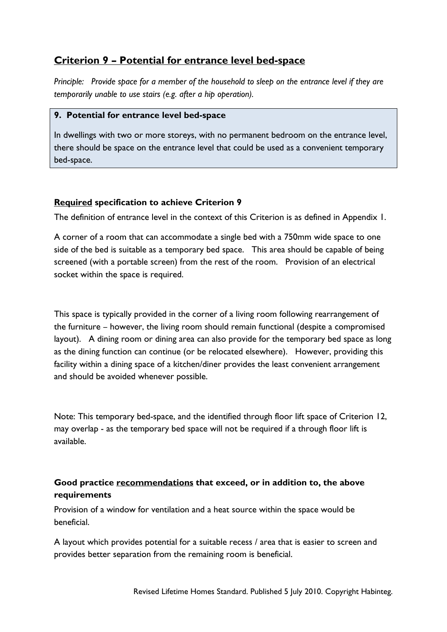## **Criterion 9 – Potential for entrance level bed-space**

*Principle: Provide space for a member of the household to sleep on the entrance level if they are temporarily unable to use stairs (e.g. after a hip operation).* 

### **9. Potential for entrance level bed-space**

In dwellings with two or more storeys, with no permanent bedroom on the entrance level, there should be space on the entrance level that could be used as a convenient temporary bed-space.

### **Required specification to achieve Criterion 9**

The definition of entrance level in the context of this Criterion is as defined in Appendix 1.

A corner of a room that can accommodate a single bed with a 750mm wide space to one side of the bed is suitable as a temporary bed space. This area should be capable of being screened (with a portable screen) from the rest of the room. Provision of an electrical socket within the space is required.

This space is typically provided in the corner of a living room following rearrangement of the furniture – however, the living room should remain functional (despite a compromised layout). A dining room or dining area can also provide for the temporary bed space as long as the dining function can continue (or be relocated elsewhere). However, providing this facility within a dining space of a kitchen/diner provides the least convenient arrangement and should be avoided whenever possible.

Note: This temporary bed-space, and the identified through floor lift space of Criterion 12, may overlap - as the temporary bed space will not be required if a through floor lift is available.

### **Good practice recommendations that exceed, or in addition to, the above requirements**

Provision of a window for ventilation and a heat source within the space would be beneficial.

A layout which provides potential for a suitable recess / area that is easier to screen and provides better separation from the remaining room is beneficial.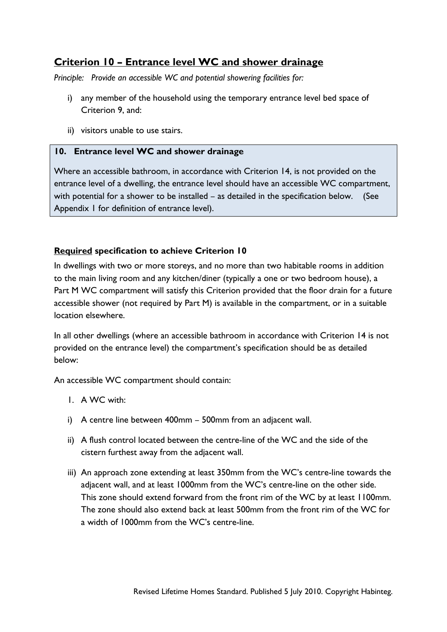## **Criterion 10 – Entrance level WC and shower drainage**

*Principle: Provide an accessible WC and potential showering facilities for:* 

- i) any member of the household using the temporary entrance level bed space of Criterion 9, and:
- ii) visitors unable to use stairs.

### **10. Entrance level WC and shower drainage**

Where an accessible bathroom, in accordance with Criterion 14, is not provided on the entrance level of a dwelling, the entrance level should have an accessible WC compartment, with potential for a shower to be installed – as detailed in the specification below. (See Appendix 1 for definition of entrance level).

### **Required specification to achieve Criterion 10**

In dwellings with two or more storeys, and no more than two habitable rooms in addition to the main living room and any kitchen/diner (typically a one or two bedroom house), a Part M WC compartment will satisfy this Criterion provided that the floor drain for a future accessible shower (not required by Part M) is available in the compartment, or in a suitable location elsewhere.

In all other dwellings (where an accessible bathroom in accordance with Criterion 14 is not provided on the entrance level) the compartment's specification should be as detailed below:

An accessible WC compartment should contain:

- 1. A WC with:
- i) A centre line between 400mm 500mm from an adjacent wall.
- ii) A flush control located between the centre-line of the WC and the side of the cistern furthest away from the adjacent wall.
- iii) An approach zone extending at least 350mm from the WC's centre-line towards the adjacent wall, and at least 1000mm from the WC's centre-line on the other side. This zone should extend forward from the front rim of the WC by at least 1100mm. The zone should also extend back at least 500mm from the front rim of the WC for a width of 1000mm from the WC's centre-line.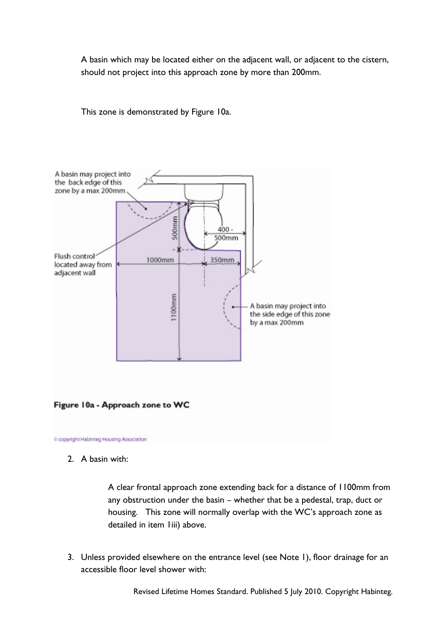A basin which may be located either on the adjacent wall, or adjacent to the cistern, should not project into this approach zone by more than 200mm.

This zone is demonstrated by Figure 10a.



2. A basin with:

A clear frontal approach zone extending back for a distance of 1100mm from any obstruction under the basin – whether that be a pedestal, trap, duct or housing. This zone will normally overlap with the WC's approach zone as detailed in item liii) above.

3. Unless provided elsewhere on the entrance level (see Note 1), floor drainage for an accessible floor level shower with:

Revised Lifetime Homes Standard. Published 5 July 2010. Copyright Habinteg.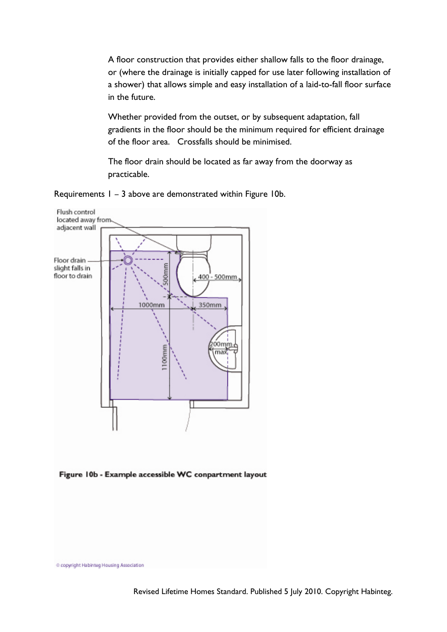A floor construction that provides either shallow falls to the floor drainage, or (where the drainage is initially capped for use later following installation of a shower) that allows simple and easy installation of a laid-to-fall floor surface in the future.

Whether provided from the outset, or by subsequent adaptation, fall gradients in the floor should be the minimum required for efficient drainage of the floor area. Crossfalls should be minimised.

The floor drain should be located as far away from the doorway as practicable.

Requirements 1 – 3 above are demonstrated within Figure 10b.





C copyright Habinteg Housing Association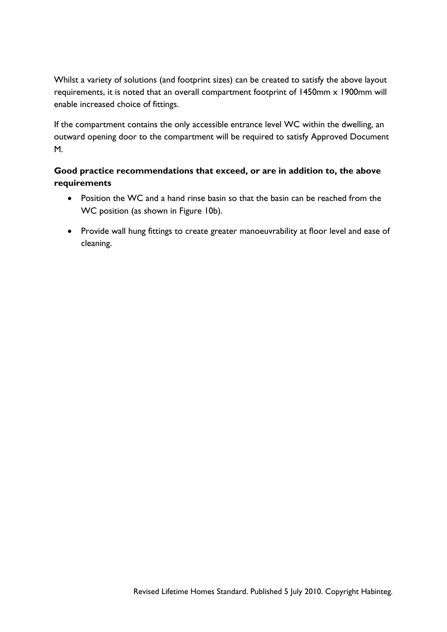Whilst a variety of solutions (and footprint sizes) can be created to satisfy the above layout requirements, it is noted that an overall compartment footprint of 1450mm x 1900mm will enable increased choice of fittings.

If the compartment contains the only accessible entrance level WC within the dwelling, an outward opening door to the compartment will be required to satisfy Approved Document M.

### **Good practice recommendations that exceed, or are in addition to, the above requirements**

- Position the WC and a hand rinse basin so that the basin can be reached from the WC position (as shown in Figure 10b).
- Provide wall hung fittings to create greater manoeuvrability at floor level and ease of cleaning.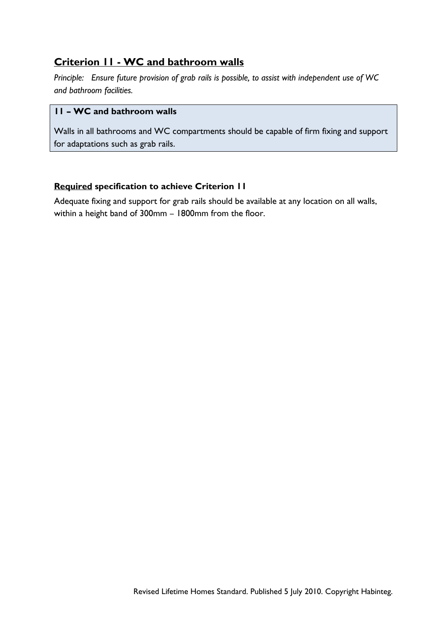## **Criterion 11 - WC and bathroom walls**

*Principle: Ensure future provision of grab rails is possible, to assist with independent use of WC and bathroom facilities.* 

### **11 – WC and bathroom walls**

Walls in all bathrooms and WC compartments should be capable of firm fixing and support for adaptations such as grab rails.

### **Required specification to achieve Criterion 11**

Adequate fixing and support for grab rails should be available at any location on all walls, within a height band of 300mm – 1800mm from the floor.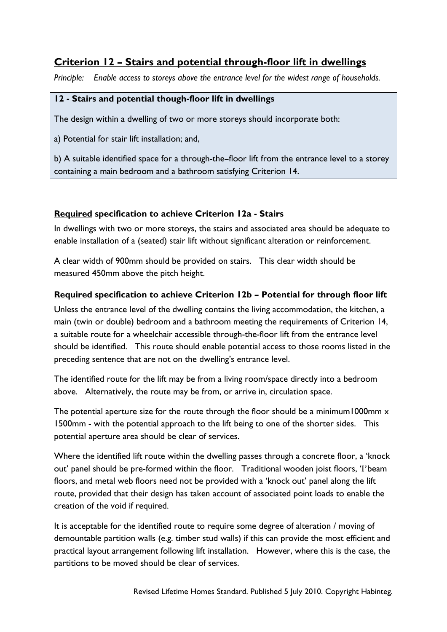## **Criterion 12 – Stairs and potential through-floor lift in dwellings**

*Principle: Enable access to storeys above the entrance level for the widest range of households.* 

### **12 - Stairs and potential though-floor lift in dwellings**

The design within a dwelling of two or more storeys should incorporate both:

a) Potential for stair lift installation; and,

b) A suitable identified space for a through-the–floor lift from the entrance level to a storey containing a main bedroom and a bathroom satisfying Criterion 14.

### **Required specification to achieve Criterion 12a - Stairs**

In dwellings with two or more storeys, the stairs and associated area should be adequate to enable installation of a (seated) stair lift without significant alteration or reinforcement.

A clear width of 900mm should be provided on stairs. This clear width should be measured 450mm above the pitch height.

### **Required specification to achieve Criterion 12b – Potential for through floor lift**

Unless the entrance level of the dwelling contains the living accommodation, the kitchen, a main (twin or double) bedroom and a bathroom meeting the requirements of Criterion 14, a suitable route for a wheelchair accessible through-the-floor lift from the entrance level should be identified. This route should enable potential access to those rooms listed in the preceding sentence that are not on the dwelling's entrance level.

The identified route for the lift may be from a living room/space directly into a bedroom above. Alternatively, the route may be from, or arrive in, circulation space.

The potential aperture size for the route through the floor should be a minimum1000mm x 1500mm - with the potential approach to the lift being to one of the shorter sides. This potential aperture area should be clear of services.

Where the identified lift route within the dwelling passes through a concrete floor, a 'knock out' panel should be pre-formed within the floor. Traditional wooden joist floors, 'I'beam floors, and metal web floors need not be provided with a 'knock out' panel along the lift route, provided that their design has taken account of associated point loads to enable the creation of the void if required.

It is acceptable for the identified route to require some degree of alteration / moving of demountable partition walls (e.g. timber stud walls) if this can provide the most efficient and practical layout arrangement following lift installation. However, where this is the case, the partitions to be moved should be clear of services.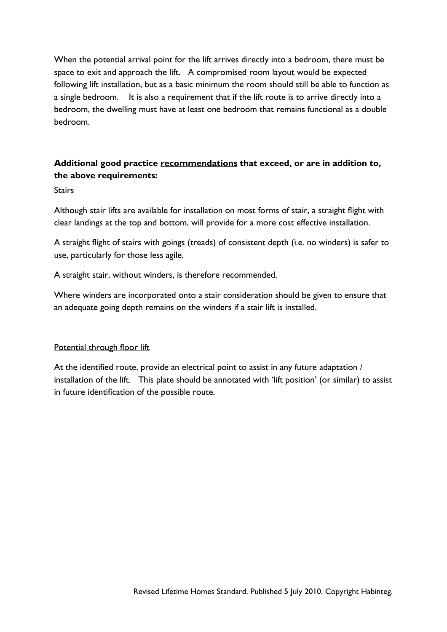When the potential arrival point for the lift arrives directly into a bedroom, there must be space to exit and approach the lift. A compromised room layout would be expected following lift installation, but as a basic minimum the room should still be able to function as a single bedroom. It is also a requirement that if the lift route is to arrive directly into a bedroom, the dwelling must have at least one bedroom that remains functional as a double bedroom.

## **Additional good practice recommendations that exceed, or are in addition to, the above requirements:**

**Stairs** 

Although stair lifts are available for installation on most forms of stair, a straight flight with clear landings at the top and bottom, will provide for a more cost effective installation.

A straight flight of stairs with goings (treads) of consistent depth (i.e. no winders) is safer to use, particularly for those less agile.

A straight stair, without winders, is therefore recommended.

Where winders are incorporated onto a stair consideration should be given to ensure that an adequate going depth remains on the winders if a stair lift is installed.

### Potential through floor lift

At the identified route, provide an electrical point to assist in any future adaptation / installation of the lift. This plate should be annotated with 'lift position' (or similar) to assist in future identification of the possible route.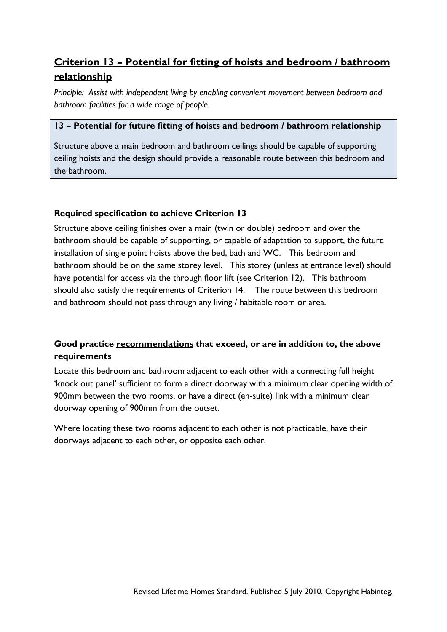# **Criterion 13 – Potential for fitting of hoists and bedroom / bathroom relationship**

*Principle: Assist with independent living by enabling convenient movement between bedroom and bathroom facilities for a wide range of people.*

### **13 – Potential for future fitting of hoists and bedroom / bathroom relationship**

Structure above a main bedroom and bathroom ceilings should be capable of supporting ceiling hoists and the design should provide a reasonable route between this bedroom and the bathroom.

### **Required specification to achieve Criterion 13**

Structure above ceiling finishes over a main (twin or double) bedroom and over the bathroom should be capable of supporting, or capable of adaptation to support, the future installation of single point hoists above the bed, bath and WC. This bedroom and bathroom should be on the same storey level. This storey (unless at entrance level) should have potential for access via the through floor lift (see Criterion 12). This bathroom should also satisfy the requirements of Criterion 14. The route between this bedroom and bathroom should not pass through any living / habitable room or area.

## **Good practice recommendations that exceed, or are in addition to, the above requirements**

Locate this bedroom and bathroom adjacent to each other with a connecting full height 'knock out panel' sufficient to form a direct doorway with a minimum clear opening width of 900mm between the two rooms, or have a direct (en-suite) link with a minimum clear doorway opening of 900mm from the outset.

Where locating these two rooms adjacent to each other is not practicable, have their doorways adjacent to each other, or opposite each other.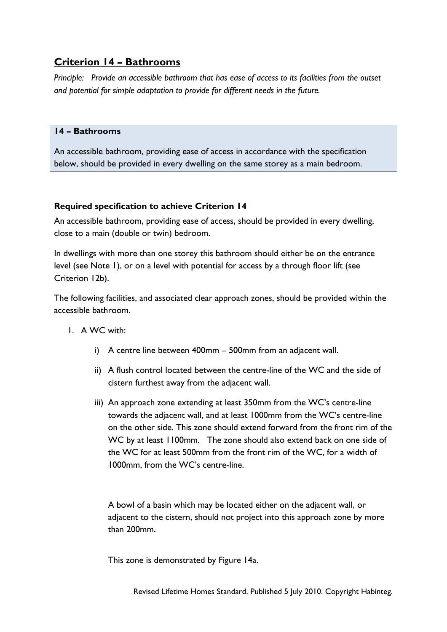## **Criterion 14 – Bathrooms**

*Principle: Provide an accessible bathroom that has ease of access to its facilities from the outset and potential for simple adaptation to provide for different needs in the future.* 

### **14 – Bathrooms**

An accessible bathroom, providing ease of access in accordance with the specification below, should be provided in every dwelling on the same storey as a main bedroom.

### **Required specification to achieve Criterion 14**

An accessible bathroom, providing ease of access, should be provided in every dwelling, close to a main (double or twin) bedroom.

In dwellings with more than one storey this bathroom should either be on the entrance level (see Note 1), or on a level with potential for access by a through floor lift (see Criterion 12b).

The following facilities, and associated clear approach zones, should be provided within the accessible bathroom.

- 1. A WC with:
	- i) A centre line between 400mm 500mm from an adjacent wall.
	- ii) A flush control located between the centre-line of the WC and the side of cistern furthest away from the adjacent wall.
	- iii) An approach zone extending at least 350mm from the WC's centre-line towards the adjacent wall, and at least 1000mm from the WC's centre-line on the other side. This zone should extend forward from the front rim of the WC by at least 1100mm. The zone should also extend back on one side of the WC for at least 500mm from the front rim of the WC, for a width of 1000mm, from the WC's centre-line.

A bowl of a basin which may be located either on the adjacent wall, or adjacent to the cistern, should not project into this approach zone by more than 200mm.

This zone is demonstrated by Figure 14a.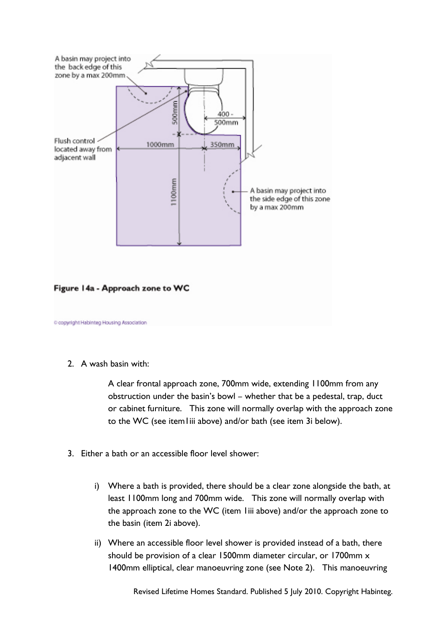

2. A wash basin with:

A clear frontal approach zone, 700mm wide, extending 1100mm from any obstruction under the basin's bowl – whether that be a pedestal, trap, duct or cabinet furniture. This zone will normally overlap with the approach zone to the WC (see item1iii above) and/or bath (see item 3i below).

- 3. Either a bath or an accessible floor level shower:
	- i) Where a bath is provided, there should be a clear zone alongside the bath, at least 1100mm long and 700mm wide. This zone will normally overlap with the approach zone to the WC (item 1iii above) and/or the approach zone to the basin (item 2i above).
	- ii) Where an accessible floor level shower is provided instead of a bath, there should be provision of a clear 1500mm diameter circular, or 1700mm x 1400mm elliptical, clear manoeuvring zone (see Note 2). This manoeuvring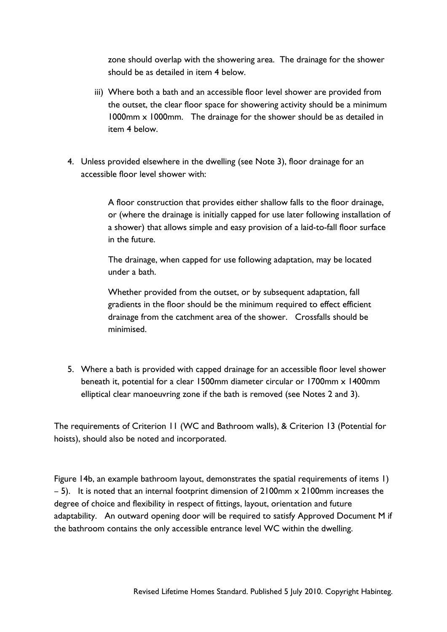zone should overlap with the showering area. The drainage for the shower should be as detailed in item 4 below.

- iii) Where both a bath and an accessible floor level shower are provided from the outset, the clear floor space for showering activity should be a minimum 1000mm x 1000mm. The drainage for the shower should be as detailed in item 4 below.
- 4. Unless provided elsewhere in the dwelling (see Note 3), floor drainage for an accessible floor level shower with:

A floor construction that provides either shallow falls to the floor drainage, or (where the drainage is initially capped for use later following installation of a shower) that allows simple and easy provision of a laid-to-fall floor surface in the future.

The drainage, when capped for use following adaptation, may be located under a bath.

Whether provided from the outset, or by subsequent adaptation, fall gradients in the floor should be the minimum required to effect efficient drainage from the catchment area of the shower. Crossfalls should be minimised.

5. Where a bath is provided with capped drainage for an accessible floor level shower beneath it, potential for a clear 1500mm diameter circular or 1700mm x 1400mm elliptical clear manoeuvring zone if the bath is removed (see Notes 2 and 3).

The requirements of Criterion 11 (WC and Bathroom walls), & Criterion 13 (Potential for hoists), should also be noted and incorporated.

Figure 14b, an example bathroom layout, demonstrates the spatial requirements of items 1)  $-$  5). It is noted that an internal footprint dimension of 2100mm  $\times$  2100mm increases the degree of choice and flexibility in respect of fittings, layout, orientation and future adaptability. An outward opening door will be required to satisfy Approved Document M if the bathroom contains the only accessible entrance level WC within the dwelling.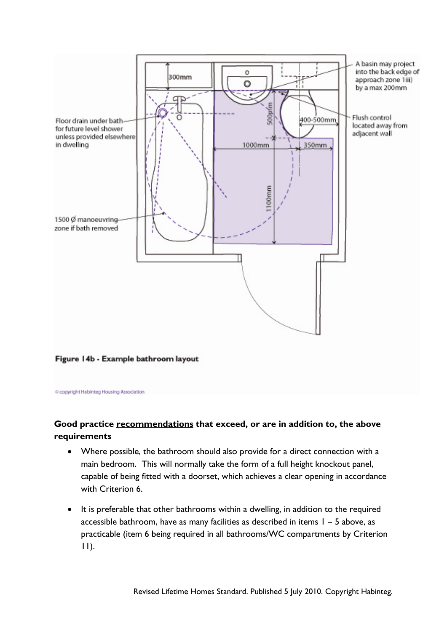

Figure 14b - Example bathroom layout

C copyright Habinteg Housing Association

### **Good practice recommendations that exceed, or are in addition to, the above requirements**

- Where possible, the bathroom should also provide for a direct connection with a main bedroom. This will normally take the form of a full height knockout panel, capable of being fitted with a doorset, which achieves a clear opening in accordance with Criterion 6.
- It is preferable that other bathrooms within a dwelling, in addition to the required accessible bathroom, have as many facilities as described in items 1 – 5 above, as practicable (item 6 being required in all bathrooms/WC compartments by Criterion 11).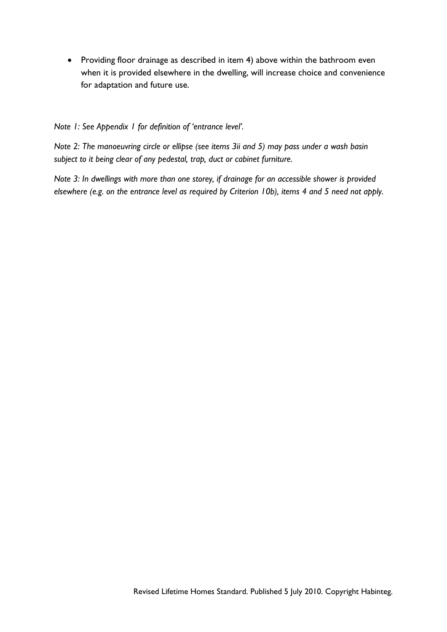• Providing floor drainage as described in item 4) above within the bathroom even when it is provided elsewhere in the dwelling, will increase choice and convenience for adaptation and future use.

*Note 1: See Appendix 1 for definition of 'entrance level'.* 

*Note 2: The manoeuvring circle or ellipse (see items 3ii and 5) may pass under a wash basin subject to it being clear of any pedestal, trap, duct or cabinet furniture.* 

*Note 3: In dwellings with more than one storey, if drainage for an accessible shower is provided elsewhere (e.g. on the entrance level as required by Criterion 10b), items 4 and 5 need not apply.*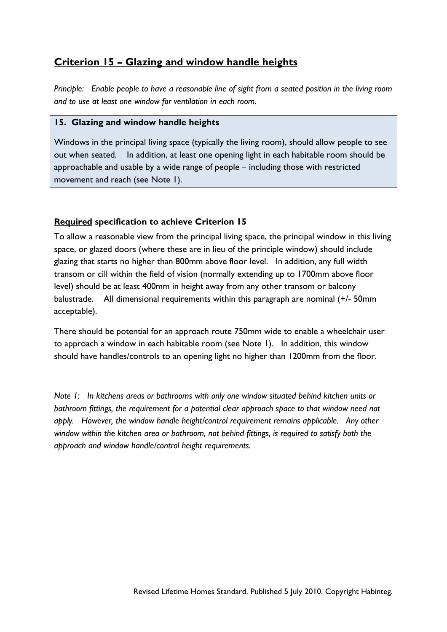## **Criterion 15 – Glazing and window handle heights**

*Principle: Enable people to have a reasonable line of sight from a seated position in the living room and to use at least one window for ventilation in each room.* 

### **15. Glazing and window handle heights**

Windows in the principal living space (typically the living room), should allow people to see out when seated. In addition, at least one opening light in each habitable room should be approachable and usable by a wide range of people – including those with restricted movement and reach (see Note 1).

### **Required specification to achieve Criterion 15**

To allow a reasonable view from the principal living space, the principal window in this living space, or glazed doors (where these are in lieu of the principle window) should include glazing that starts no higher than 800mm above floor level. In addition, any full width transom or cill within the field of vision (normally extending up to 1700mm above floor level) should be at least 400mm in height away from any other transom or balcony balustrade. All dimensional requirements within this paragraph are nominal (+/- 50mm acceptable).

There should be potential for an approach route 750mm wide to enable a wheelchair user to approach a window in each habitable room (see Note 1). In addition, this window should have handles/controls to an opening light no higher than 1200mm from the floor.

*Note 1: In kitchens areas or bathrooms with only one window situated behind kitchen units or bathroom fittings, the requirement for a potential clear approach space to that window need not apply. However, the window handle height/control requirement remains applicable. Any other window within the kitchen area or bathroom, not behind fittings, is required to satisfy both the approach and window handle/control height requirements.*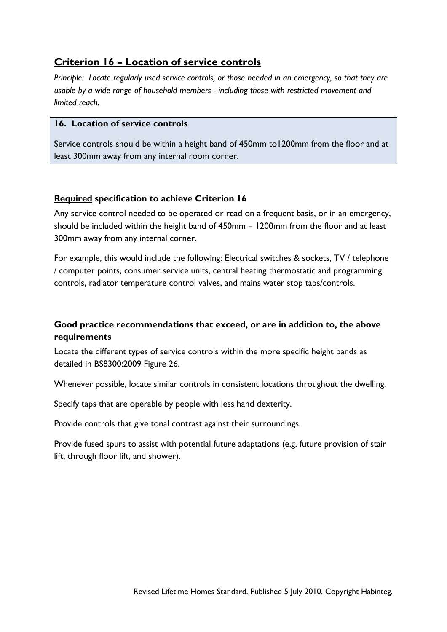## **Criterion 16 – Location of service controls**

*Principle: Locate regularly used service controls, or those needed in an emergency, so that they are usable by a wide range of household members - including those with restricted movement and limited reach.* 

### **16. Location of service controls**

Service controls should be within a height band of 450mm to1200mm from the floor and at least 300mm away from any internal room corner.

### **Required specification to achieve Criterion 16**

Any service control needed to be operated or read on a frequent basis, or in an emergency, should be included within the height band of 450mm – 1200mm from the floor and at least 300mm away from any internal corner.

For example, this would include the following: Electrical switches & sockets, TV / telephone / computer points, consumer service units, central heating thermostatic and programming controls, radiator temperature control valves, and mains water stop taps/controls.

### **Good practice recommendations that exceed, or are in addition to, the above requirements**

Locate the different types of service controls within the more specific height bands as detailed in BS8300:2009 Figure 26.

Whenever possible, locate similar controls in consistent locations throughout the dwelling.

Specify taps that are operable by people with less hand dexterity.

Provide controls that give tonal contrast against their surroundings.

Provide fused spurs to assist with potential future adaptations (e.g. future provision of stair lift, through floor lift, and shower).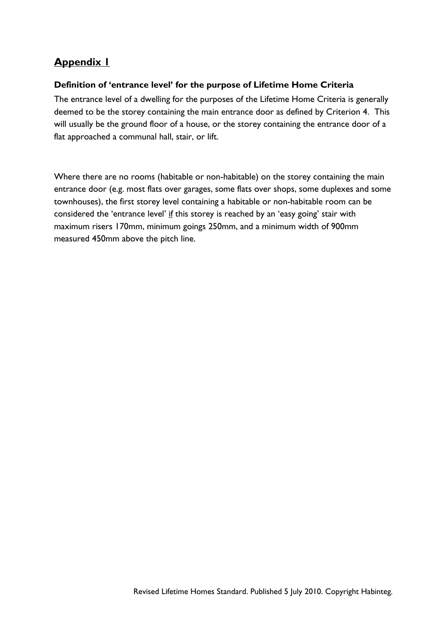## **Appendix 1**

### **Definition of 'entrance level' for the purpose of Lifetime Home Criteria**

The entrance level of a dwelling for the purposes of the Lifetime Home Criteria is generally deemed to be the storey containing the main entrance door as defined by Criterion 4. This will usually be the ground floor of a house, or the storey containing the entrance door of a flat approached a communal hall, stair, or lift.

Where there are no rooms (habitable or non-habitable) on the storey containing the main entrance door (e.g. most flats over garages, some flats over shops, some duplexes and some townhouses), the first storey level containing a habitable or non-habitable room can be considered the 'entrance level' if this storey is reached by an 'easy going' stair with maximum risers 170mm, minimum goings 250mm, and a minimum width of 900mm measured 450mm above the pitch line.